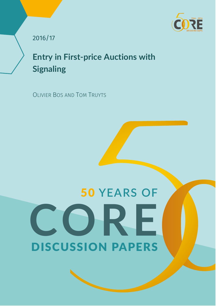

2016/17

**Entry in First-price Auctions with Signaling**

OLIVIER BOS AND TOM TRUYTS

# 50 **YEARS OF** DISCUSSION PAPERS **CORE**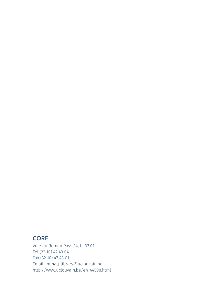# **CORE**

Voie du Roman Pays 34, L1.03.01 Tel (32 10) 47 43 04 Fax (32 10) 47 43 01 Email: immaq-library@uclouvain.be http://www.uclouvain.be/en-44508.html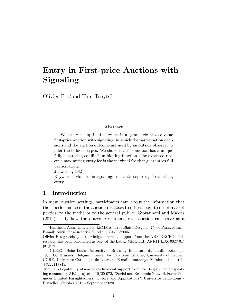# Entry in First-price Auctions with Signaling

Olivier Bos<sup>∗</sup> and Tom Truyts†

#### Abstract

We study the optimal entry fee in a symmetric private value first-price auction with signaling, in which the participation decisions and the auction outcome are used by an outside observer to infer the bidders' types. We show that this auction has a unique fully separating equilibrium bidding function. The expected revenue maximizing entry fee is the maximal fee that guarantees full participation.

JEL: D44; D82

Keywords: Monotonic signaling; social status; first-price auction, entry

# 1 Introduction

In many auction settings, participants care about the information that their performance in the auction discloses to others, e.g., to other market parties, to the media or to the general public. Giovannoni and Makris (2014) study how the outcome of a take-over auction can serve as a

<sup>∗</sup>Panthéon-Assas University, LEMMA, 4 rue Blaise Desgo§e, 75006 Paris, France. E-mail: olivier.bos@u-paris2.fr, tel.: +33170232005.

Olivier Bos gratefully acknowledges financial support from the ANR DBCPG. This research has been conducted as part of the Labex MME-DII (ANR11-LBX-0023-01) project.

<sup>†</sup>CEREC, Saint-Louis University - Brussels, Boulevard du Jardin botanique 43, 1000 Brussels, Belgium; Center for Economic Studies, University of Leuven; CORE, Université Catholique de Louvain. E-mail: tom.truyts@usaintlouis.be, tel.: +3222117845.

Tom Truyts gatefully aknowledges financial support from the Belgian French speaking community ARC project n◦15/20-072, "Social and Economic Network Formation under Limited Farsightedness: Theory and Applications", Université Saint-Louis - Bruxelles, October 2015 - September 2020.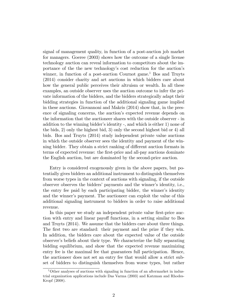signal of management quality, in function of a post-auction job market for managers. Goeree (2003) shows how the outcome of a single license technology auction can reveal information to competitors about the importance of the the new technology's cost reduction for the auction's winner, in function of a post-auction Cournot game.<sup>1</sup> Bos and Truyts (2014) consider charity and art auctions in which bidders care about how the general public perceives their altruism or wealth. In all these examples, an outside observer uses the auction outcome to infer the private information of the bidders, and the bidders strategically adapt their bidding strategies in function of the additional signaling game implied in these auctions. Giovannoni and Makris (2014) show that, in the presence of signaling concerns, the auction's expected revenue depends on the information that the auctioneer shares with the outside observer - in addition to the winning bidder's identity -, and which is either 1) none of the bids, 2) only the highest bid, 3) only the second highest bid or 4) all bids. Bos and Truyts (2014) study independent private value auctions in which the outside observer sees the identity and payment of the winning bidder. They obtain a strict ranking of different auction formats in terms of expected revenue: the first-price and all-pay auctions dominate the English auction, but are dominated by the second-price auction.

Entry is considered exogenously given in the above papers, but potentially gives bidders an additional instrument to distinguish themselves from worse types in the context of auctions with signaling, if the outside observer observes the bidders' payments and the winner's identity, i.e., the entry fee paid by each participating bidder, the winner's identity and the winner's payment. The auctioneer can exploit the value of this additional signaling instrument to bidders in order to raise additional revenue.

In this paper we study an independent private value first-price auction with entry and linear payoff functions, in a setting similar to Bos and Truyts (2014). We assume that the bidders care about three things. The first two are standard: their payment and the prize if they win. In addition, the bidders care about the expected value of the outside observer's beliefs about their type. We characterize the fully separating bidding equilibrium, and show that the expected revenue maximizing entry fee is the maximal fee that guarantees full participation. Hence, the auctioneer does not set an entry fee that would allow a strict subset of bidders to distinguish themselves from worse types, but rather

 $1$ Other analyses of auctions with signaling in function of an aftermarket in industrial organization applications include Das Varma (2003) and Katzman and Rhodes-Kropf (2008).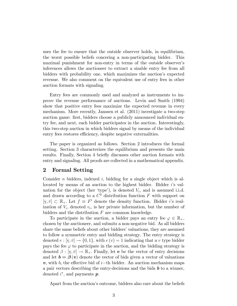uses the fee to ensure that the outside observer holds, in equilibrium, the worst possible beliefs concering a non-participating bidder. This maximal punishment for non-entry in terms of the outside observer's inferences allows the auctioneer to extract a sizable entry fee from all bidders with probability one, which maximizes the auction's expected revenue. We also comment on the equivalent use of entry fees in other auction formats with signaling.

Entry fees are commonly used and analyzed as instruments to improve the revenue performance of auctions. Levin and Smith (1994) show that positive entry fees maximize the expected revenue in every mechanism. More recently, Janssen et al. (2011) investigate a two-step auction game: first, bidders choose a publicly announced individual entry fee, and next, each bidder participates in the auction. Interestingly, this two-step auction in which bidders signal by means of the individual entry fees restores efficiency, despite negative externalities.

The paper is organized as follows. Section 2 introduces the formal setting. Section 3 characterizes the equilibrium and presents the main results. Finally, Section 4 briefly discusses other auction formats with entry and signaling. All proofs are collected in a mathematical appendix.

## 2 Formal Setting

Consider *n* bidders, indexed *i,* bidding for a single object which is allocated by means of an auction to the highest bidder. Bidder *i*'s valuation for the object (her 'type'), is denoted  $V_i$ , and is assumed i.i.d. and drawn according to a  $C^2$  distribution function  $F$  with support on  $[\underline{v}, \overline{v}]$  ⊂  $\mathbb{R}_+$ . Let  $f \equiv F'$  denote the density function. Bidder *i*'s realization of  $V_i$ , denoted  $v_i$ , is her private information, but the number of bidders and the distribution *F* are common knowledge.

To participate in the auction, a bidder pays an entry fee  $\varphi \in \mathbb{R}_+$ , chosen by the auctioneer, and submits a non-negative bid. As all bidders share the same beliefs about other bidders' valuations, they are assumed to follow a symmetric entry and bidding strategy. The entry strategy is denoted  $e : [\underline{v}, \overline{v}] \to \{0, 1\}$ , with  $e(v) = 1$  indicating that a *v* type bidder pays the fee  $\varphi$  to participate in the auction, and the bidding strategy is denoted  $\beta : [\underline{v}, \overline{v}] \to \mathbb{R}_+$ . Finally, let e be the vector of entry decisions and let  $b = \beta(v)$  denote the vector of bids given a vector of valuations *v*, with  $b_i$  the effective bid of *i*−th bidder. An auction mechanism maps a pair vectors describing the entry-decisions and the bids *b* to a winner, denoted *i* <sup>∗</sup>*,* and payments *p*.

Apart from the auction's outcome, bidders also care about the beliefs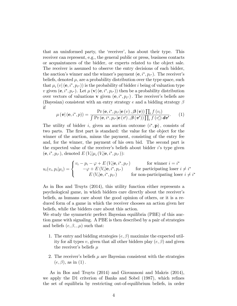that an uninformed party, the 'receiver', has about their type. This receiver can represent, e.g., the general public or press, business contacts or acquaintances of the bidder, or experts related to the object sale. The receiver is assumed to observe the entry decisions of each bidder, the auction's winner and the winner's payment  $(e, i^*, p_{i^*})$ . The receiver's beliefs, denoted  $\mu$ , are a probability distribution over the type space, such that  $\mu_i(v \mid (\mathbf{e}, i^*, p_{i^*}))$  is the probability of bidder *i* being of valuation type *v* given  $(e, i^*, p_{i^*})$ . Let  $\mu(\mathbf{v} | (e, i^*, p_{i^*}))$  then be a probability distribution over vectors of valuations **v** given  $(e, i^*, p_{i^*})$ . The receiver's beliefs are (Bayesian) consistent with an entry strategy *e* and a bidding strategy β if

$$
\mu\left(\mathbf{v}|\left(\mathbf{e},i^{*},p\right)\right)=\frac{\Pr\left(\mathbf{e},i^{*},p_{i^{*}}|\mathbf{e}\left(v\right),\boldsymbol{\beta}\left(\mathbf{v}\right)\right)\prod_{i}f\left(v_{i}\right)}{\int\Pr\left(\mathbf{e},i^{*},p_{i^{*}}|\mathbf{e}\left(v'\right),\boldsymbol{\beta}\left(\mathbf{v}'\right)\right)\prod_{i}f\left(v'_{i}\right)d\mathbf{v}'}. \tag{1}
$$

The utility of bidder *i*, given an auction outcome (*i* <sup>∗</sup>*,* p)*,* consists of two parts. The first part is standard: the value for the object for the winner of the auction, minus the payment, consisting of the entry fee and, for the winner, the payment of his own bid. The second part is the expected value of the receiver's beliefs about bidder *i*'s type given  $(e, i^*, p_{i^*})$ , denoted  $E(V_i | \mu_i(V_i | \mathbf{e}, i^*, p_{i^*}))$ :

$$
u_i(v_i, p_i | \mu_i) = \begin{cases} v_i - p_i - \varphi + E(V_i | \mathbf{e}, i^*, p_{i^*}) & \text{for winner } i = i^*\\ -\varphi + E(V_i | \mathbf{e}, i^*, p_{i^*}) & \text{for participating loser } i \neq i^*\\ E(V_i | \mathbf{e}, i^*, p_{i^*}) & \text{for non-participating loser } i \neq i^* \end{cases}
$$

As in Bos and Truyts (2014), this utility function either represents a psychological game, in which bidders care directly about the receiver's beliefs, as humans care about the good opinion of others, or it is a reduced form of a game in which the receiver chooses an action given her beliefs, while the bidders care about this action.

We study the symmetric perfect Bayesian equilibria (PBE) of this auction game with signaling. A PBE is then described by a pair of strategies and beliefs  $(e, \beta, \mu)$  such that:

- 1. The entry and bidding strategies  $(e, \beta)$  maximize the expected utility for all types *v*, given that all other bidders play  $(e, \beta)$  and given the receiver's beliefs *µ*
- 2. The receiver's beliefs  $\mu$  are Bayesian consistent with the strategies  $(e, \beta)$ , as in  $(1)$ .

As in Bos and Truyts (2014) and Giovannoni and Makris (2014), we apply the D1 criterion of Banks and Sobel (1987), which refines the set of equilibria by restricting out-of-equilibrium beliefs, in order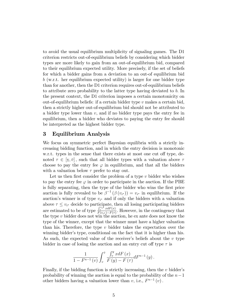to avoid the usual equilibrium multiplicity of signaling games. The D1 criterion restricts out-of-equilibrium beliefs by considering which bidder types are more likely to gain from an out-of-equilibrium bid, compared to their equilibrium expected utility. More precisely, if the set of beliefs for which a bidder gains from a deviation to an out-of equilibrium bid *b* (w.r.t. her equilibrium expected utility) is larger for one bidder type than for another, then the D1 criterion requires out-of-equilibrium beliefs to attribute zero probability to the latter type having deviated to *b.* In the present context, the D1 criterion imposes a certain monotonicity on out-of-equilibrium beliefs: if a certain bidder type *v* makes a certain bid, then a strictly higher out-of-equilibrium bid should not be attributed to a bidder type lower than *v*, and if no bidder type pays the entry fee in equilibrium, then a bidder who deviates to paying the entry fee should be interpreted as the highest bidder type.

## 3 Equilibrium Analysis

We focus on symmetric perfect Bayesian equilibria with a strictly increasing bidding function, and in which the entry decision is monotonic w.r.t. types in the sense that there exists at most one cut off type, denoted  $\tau \in [\underline{v}, \overline{v}]$ , such that all bidder types with a valuation above  $\tau$ choose to pay the entry fee  $\varphi$  in equilibrium, and that all the bidders with a valuation below  $\tau$  prefer to stay out.

Let us then first consider the problem of a type *v* bidder who wishes to pay the entry fee  $\varphi$  in order to participate in the auction. If the PBE is fully separating, then the type of the bidder who wins the first price auction is fully revealed to be  $\beta^{-1}(\beta(v_i)) = v_i^*$  in equilibrium. If the auction's winner is of type  $v_{i*}$  and if only the bidders with a valuation above  $\tau \leq v_{i^*}$  decide to participate, then all losing participating bidders are estimated to be of type  $\frac{\int_{\tau}^{v_i\star} x dF(x)}{F(v_i\star)-F(\tau)}$ . However, in the contingency that the type *v* bidder does not win the auction, he ex ante does not know the type of the winner, except that the winner must have a higher valuation than his. Therefore, the type *v* bidder takes the expectation over the winning bidder's type, conditional on the fact that it is higher than his. As such, the expected value of the receiver's beliefs about the *v* type bidder in case of losing the auction and an entry cut off type  $\tau$  is

$$
\frac{1}{1 - F^{n-1}(v)} \int_v^{\bar{v}} \frac{\int_{\tau}^y x dF(x)}{F(y) - F(\tau)} dF^{n-1}(y).
$$

Finally, if the bidding function is strictly increasing, then the *v* bidder's probability of winning the auction is equal to the probability of the *n*−1 other bidders having a valuation lower than  $v$ , i.e.,  $F^{n-1}(v)$ .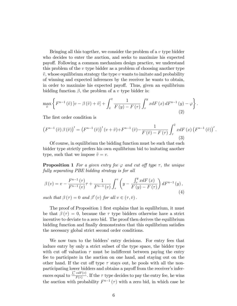Bringing all this together, we consider the problem of a *v* type bidder who decides to enter the auction, and seeks to maximize his expected payo§. Following a common mechanism design practice, we understand this problem of the *v* type bidder as a problem of choosing another type  $\tilde{v}$ , whose equilibrium strategy the type  $v$  wants to imitate and probability of winning and expected inferences by the receiver he wants to obtain, in order to maximize his expected payoff. Thus, given an equilibrium bidding function  $\beta$ , the problem of a *v* type bidder is:

$$
\max_{\tilde{v}} \left\{ F^{n-1}(\tilde{v}) \left[ v - \beta(\tilde{v}) + \tilde{v} \right] + \int_{\tilde{v}}^{\tilde{v}} \frac{1}{F(y) - F(\tau)} \int_{\tau}^{y} x dF(x) dF^{n-1}(y) - \varphi \right\}.
$$
\n(2)

The first order condition is

$$
\left(F^{n-1}(\tilde{v})\beta(\tilde{v})\right)' = \left(F^{n-1}(\tilde{v})\right)'(v+\tilde{v}) + F^{n-1}(\tilde{v}) - \frac{1}{F(\tilde{v}) - F(\tau)}\int_{\tau}^{\tilde{v}} x dF\left(x\right)\left(F^{n-1}(\tilde{v})\right)'.
$$
\n(3)

Of course, in equilibrium the bidding function must be such that each bidder type strictly prefers his own equilibrium bid to imitating another type, such that we impose  $\tilde{v} = v$ .

**Proposition 1** For a given entry fee  $\varphi$  and cut off type  $\tau$ , the unique *fully separating PBE bidding strategy is for all*

$$
\beta(v) = v - \frac{F^{n-1}(\tau)}{F^{n-1}(v)} \tau + \frac{1}{F^{n-1}(v)} \int_{\tau}^{v} \left( y - \frac{\int_{\tau}^{y} x dF(x)}{F(y) - F(\tau)} \right) dF^{n-1}(y),\tag{4}
$$

*such that*  $\beta(\tau) = 0$  *and*  $\beta'(v)$  *for all*  $v \in (\tau, \bar{v})$ .

The proof of Proposition 1 first explains that in equilibrium, it must be that  $\beta(\tau)=0$ , because the  $\tau$  type bidders otherwise have a strict incentive to deviate to a zero bid. The proof then derives the equilibrium bidding function and finally demonstrates that this equilibrium satisfies the necessary global strict second order conditions.

We now turn to the bidders' entry decisions. For entry fees that induce entry by only a strict subset of the type space, the bidder type with cut off valuation  $\tau$  must be indifferent between paying the entry fee to participate in the auction on one hand, and staying out on the other hand. If the cut off type  $\tau$  stays out, he pools with all the nonparticipating lower bidders and obtains a payoff from the receiver's inferences equal to  $\frac{\int_{\tau}^{\tau} v dF(v)}{F(\tau)}$ . If the  $\tau$  type decides to pay the entry fee, he wins the auction with probability  $F^{n-1}(\tau)$  with a zero bid, in which case he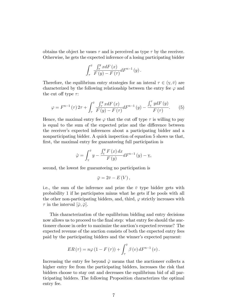obtains the object he vaues  $\tau$  and is perceived as type  $\tau$  by the receiver. Otherwise, he gets the expected inference of a losing participating bidder

$$
\int_{\tau}^{\bar{v}} \frac{\int_{\tau}^{y} x dF(x)}{F(y) - F(\tau)} dF^{n-1}(y).
$$

Therefore, the equilibrium entry strategies for an interal  $\tau \in (\underline{v}, \overline{v})$  are characterized by the following relationship between the entry fee  $\varphi$  and the cut off type  $\tau$ :

$$
\varphi = F^{n-1}(\tau) 2\tau + \int_{\tau}^{\bar{v}} \frac{\int_{\tau}^{y} x dF(x)}{F(y) - F(\tau)} dF^{n-1}(y) - \frac{\int_{\mathbf{x}}^{\tau} y dF(y)}{F(\tau)}. \tag{5}
$$

Hence, the maximal entry fee  $\varphi$  that the cut off type  $\tau$  is willing to pay is equal to the sum of the expected prize and the difference between the receiver's expected inferences about a participating bidder and a nonparticipating bidder. A quick inspection of equation 5 shows us that, first, the maximal entry fee guaranteeing full participation is

$$
\hat{\varphi} = \int_{\mathbf{y}}^{\bar{v}} y - \frac{\int_{\mathbf{y}}^{y} F(x) dx}{F(y)} dF^{n-1}(y) - \mathbf{y},
$$

second, the lowest fee guaranteeing no participation is

$$
\bar{\varphi}=2\bar{v}-E\left(V\right),\,
$$

i.e., the sum of the inference and prize the  $\bar{v}$  type bidder gets with probability 1 if he participates minus what he gets if he pools with all the other non-participating bidders, and, third,  $\varphi$  strictly increases with  $\tau$  in the interval  $[\hat{\varphi}, \bar{\varphi}]$ .

This characterization of the equilibrium bidding and entry decisions now allows us to proceed to the final step: what entry fee should the auctioneer choose in order to maximize the auction's expected revenue? The expected revenue of the auction consists of both the expected entry fees paid by the participating bidders and the winner's expected payment:

$$
ER(\tau) = n\varphi(1 - F(\tau)) + \int_{\tau}^{\bar{v}} \beta(v) dF^{n-1}(v).
$$

Increasing the entry fee beyond  $\hat{\varphi}$  means that the auctioneer collects a higher entry fee from the participating bidders, increases the risk that bidders choose to stay out and decreases the equilibrium bid of all participating bidders. The following Proposition characterizes the optimal entry fee.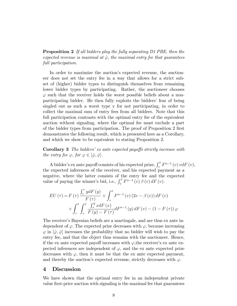Proposition 2 *If all bidders play the fully separating D1 PBE, then the expected revenue is maximal at*  $\hat{\varphi}$ *, the maximal entry fee that guarantees full participation.*

In order to maximize the auction's expected revenue, the auctioneer does not set the entry fee in a way that allows for a strict subset of (higher) bidder types to distinguish themselves from remaining lower bidder types by participating. Rather, the auctioneer chooses  $\varphi$  such that the receiver holds the worst possible beliefs about a nonparticipating bidder. He then fully exploits the bidders' fear of being singled out as such a worst type  $\underline{v}$  for not participating, in order to collect the maximal sum of entry fees from all bidders. Note that this full participation contrasts with the optimal entry fee of the equivalent auction without signaling, where the optimal fee must exclude a part of the bidder types from participation. The proof of Proposition 2 first demonstrates the following result, which is presented here as a Corollary, and which we show to be equivalent to stating Proposition 2.

Corollary 3 *The bidders' ex ante expected payo*§*s strictly increase with the entry fee*  $\varphi$ *, for*  $\varphi \in [\hat{\varphi}, \bar{\varphi}]$ *.* 

A bidder's ex ante payoff consists of his expected prize,  $\int_{\mathcal{Y}}^{\bar{v}} F^{n-1}(v) v dF(v)$ , the expected inferences of the receiver, and his expected payment as a negative, where the latter consists of the entry fee and the expected value of paying the winner's bid, i.e.,  $\int_{\mathbf{y}}^{\bar{v}}$  $F^{n-1}(v) \beta(v) dF(v).$ 

$$
EU\left(\tau\right) = F\left(\tau\right) \frac{\int_{\mathbf{v}}^{\tau} y dF\left(y\right)}{F\left(\tau\right)} + \int_{\tau}^{\bar{v}} F^{n-1}\left(v\right) \left(2v - \beta\left(v\right)\right) dF\left(v\right) + \int_{\tau}^{\bar{v}} \int_{\mathbf{v}}^{\bar{v}} \frac{\int_{\tau}^{y} x dF\left(x\right)}{F\left(y\right) - F\left(\tau\right)} dF^{n-1}\left(y\right) dF\left(v\right) - \left(1 - F\left(\tau\right)\right)\varphi
$$

The receiver's Bayesian beliefs are a martingale, and are thus ex ante independent of  $\varphi$ . The expected prize decreases with  $\varphi$ , because increasing  $\varphi$  in  $[\hat{\varphi}, \bar{\varphi}]$  increases the probability that no bidder will wish to pay the entry fee, and that the object thus remains with the auctioneer. Hence, if the ex ante expected payoff increases with  $\varphi$ , the receiver's ex ante expected inferences are independent of  $\varphi$ , and the ex ante expected prize decreases with  $\varphi$ , then it must be that the ex ante expected payment, and thereby the auction's expected revenue, strictly decreases with  $\varphi$ .

#### 4 Discussion

We have shown that the optimal entry fee in an independent private value first-price auction with signaling is the maximal fee that guarantees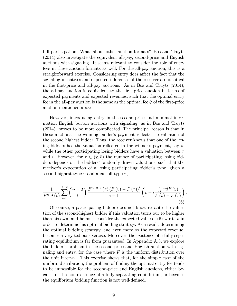full participation. What about other auction formats? Bos and Truyts (2014) also investigate the equivalent all-pay, second-price and English auctions with signaling. It seems relevant to consider the role of entry fees in these auction formats as well. For the all-pay auction, this is a straightforward exercise. Considering entry does affect the fact that the signaling incentives and expected inferences of the receiver are identical in the first-price and all-pay auctions. As in Bos and Truyts (2014), the all-pay auction is equivalent to the first-price auction in terms of expected payments and expected revenues, such that the optimal entry fee in the all-pay auction is the same as the optimal fee  $\hat{\varphi}$  of the first-price auction mentioned above.

However, introducing entry in the second-price and minimal information English button auctions with signaling, as in Bos and Truyts (2014), proves to be more complicated. The principal reason is that in these auctions, the winning bidder's payment reflects the valuation of the second highest bidder. Thus, the receiver knows that one of the losing bidders has the valuation reflected in the winner's payment, say *v*, while the other participating losing bidders have a valuation between  $\tau$ and *v*. However, for  $\tau \in (\underline{v}, \bar{v})$  the number of participating losing bidders depends on the bidders' randomly drawn valuations, such that the receiver's expectation of a losing participating bidder's type, given a second highest type  $v$  and a cut off type  $\tau$ , is:

$$
\frac{1}{F^{n-2}(v)}\sum_{i=0}^{n-2} {n-2 \choose i} \frac{F^{n-2-i}(\tau) \left(F(v) - F(\tau)\right)^i}{i+1} \left(v + i\frac{\int_{\tau}^v y dF(y)}{F(v) - F(\tau)}\right)
$$
\n(6)

*.*

Of course, a participating bidder does not know ex ante the valuation of the second-highest bidder if this valuation turns out to be higher than his own, and he must consider the expected value of (6) w.r.t. *v* in order to determine his optimal bidding strategy. As a result, determining the optimal bidding strategy, and even more so the expected revenue, becomes a very tedious exercise. Moreover, the existence of a fully separating equilibrium is far from guaranteed. In Appendix A.3, we explore the bidder's problem in the second-price and English auction with signaling and entry, for the case where *F* is the uniform distribution over the unit interval. This exercise shows that, for the simple case of the uniform distribution, the problem of finding the optimal entry fee tends to be impossible for the second-price and English auctions, either because of the non-existence of a fully separating equilibrium, or because the equilibrium bidding function is not well-defined.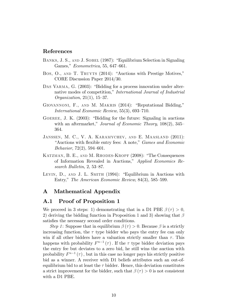# References

- BANKS, J. S., AND J. SOBEL (1987): "Equilibrium Selection in Signaling Games," *Econometrica*, 55, 647—661.
- Bos, O., and T. Truyts (2014): "Auctions with Prestige Motives," CORE Discussion Paper 2014/30.
- DAS VARMA, G. (2003): "Bidding for a process innovation under alternative modes of competition," *International Journal of Industrial Organization*, 21(1), 15—37.
- Giovannoni, F., and M. Makris (2014): "Reputational Bidding," *International Economic Review*, 55(3), 693—710.
- Goeree, J. K. (2003): "Bidding for the future: Signaling in auctions with an aftermarket," *Journal of Economic Theory*, 108(2), 345— 364.
- JANSSEN, M. C., V. A. KARAMYCHEV, AND E. MAASLAND (2011): "Auctions with flexible entry fees: A note," *Games and Economic Behavior*, 72(2), 594—601.
- Katzman, B. E., and M. Rhodes-Kropf (2008): "The Consequences of Information Revealed in Auctions," *Applied Economics Research Bulletin*, 2, 53—87.
- LEVIN, D., AND J. L. SMITH (1994): "Equilibrium in Auctions with Entry," *The American Economic Review*, 84(3), 585—599.

## A Mathematical Appendix

# A.1 Proof of Proposition 1

We proceed in 3 steps: 1) demonstrating that in a D1 PBE  $\beta(\tau) > 0$ , 2) deriving the bidding function in Proposition 1 and 3) showing that  $\beta$ satisfies the necessary second order conditions.

*Step 1*: Suppose that in equilibrium  $\beta(\tau) > 0$ . Because  $\beta$  is a strictly increasing function, the  $\tau$  type bidder who pays the entry fee can only win if all other bidders have a valuation strictly smaller than  $\tau$ . This happens with probability  $F^{n-1}(\tau)$ . If the  $\tau$  type bidder deviation pays the entry fee but deviates to a zero bid, he still wins the auction with probability  $F^{n-1}(\tau)$ , but in this case no longer pays his strictly positive bid as a winner. A receiver with D1 beliefs attributes such an out-ofequilibrium bid to at least the  $\tau$  bidder. Hence, this deviation constitutes a strict improvement for the bidder, such that  $\beta(\tau) > 0$  is not consistent with a D1 PBE.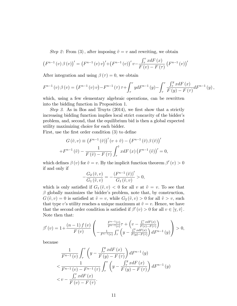*Step 2*: From (3), after imposing  $\tilde{v} = v$  and rewriting, we obtain

$$
(F^{n-1}(v)\beta(v))' = (F^{n-1}(v)v)' + (F^{n-1}(v))'v - \frac{\int_{\tau}^{v} x dF(x)}{F(v) - F(\tau)} (F^{n-1}(v))'
$$

After integration and using  $\beta(\tau) = 0$ , we obtain

$$
F^{n-1}(v)\beta(v) = (F^{n-1}(v)v) - F^{n-1}(\tau)\tau + \int_{\tau}^{v} y dF^{n-1}(y) - \int_{\tau}^{v} \frac{\int_{\tau}^{y} x dF(x)}{F(y) - F(\tau)} dF^{n-1}(y),
$$

which, using a few elementary algebraic operations, can be rewritten into the bidding function in Proposition 1.

*Step 3*. As in Bos and Truyts (2014), we first show that a strictly increasing bidding function implies local strict concavity of the bidder's problem, and, second, that the equilibrium bid is then a global expected utility maximizing choice for each bidder.

First, use the first order condition (3) to define

$$
G\left(\tilde{v},v\right) \equiv \left(F^{n-1}\left(\tilde{v}\right)\right)'\left(v+\tilde{v}\right) - \left(F^{n-1}\left(\tilde{v}\right)\beta\left(\tilde{v}\right)\right)'
$$

$$
+F^{n-1}\left(\tilde{v}\right) - \frac{1}{F\left(\tilde{v}\right) - F\left(\tau\right)}\int_{\tau}^{\tilde{v}} x dF\left(x\right)\left(F^{n-1}\left(\tilde{v}\right)\right)' = 0,
$$

which defines  $\beta(v)$  for  $\tilde{v} = v$ . By the implicit function theorem  $\beta'(v) > 0$ if and only if

$$
-\frac{G_2(\tilde{v},v)}{G_1(\tilde{v},v)} = -\frac{\left(F^{n-1}(\tilde{v})\right)'}{G_1(\tilde{v},v)} > 0,
$$

which is only satisfied if  $G_1(\tilde{v}, v) < 0$  for all *v* at  $\tilde{v} = v$ . To see that  $\beta$  globally maximizes the bidder's problem, note that, by construction,  $G(\tilde{v}, v) = 0$  is satisfied at  $\tilde{v} = v$ , while  $G_2(\tilde{v}, v) > 0$  for all  $\tilde{v} > v$ , such that type *v*'s utility reaches a unique maximum at  $\tilde{v} = v$ . Hence, we have that the second order condition is satisfied if  $\beta'(v) > 0$  for all  $v \in [\underline{v}$ <br>Note than that:  $, \bar{v}$ ]. Note then that:

$$
\beta'(v) = 1 + \frac{(n-1) f(v)}{F(v)} \left( -\frac{\frac{F^{n-1}(\tau)}{F^{n-1}(v)} \tau + \left( v - \frac{\int_{\tau}^{v} x dF(x)}{F(v) - F(\tau)} \right)}{-\frac{1}{F^{n-1}(v)} \int_{\tau}^{v} \left( y - \frac{\int_{\tau}^{v} x dF(x)}{F(v) - F(\tau)} \right) dF^{n-1}(y)} \right) > 0,
$$

because

$$
\frac{1}{F^{n-1}(v)} \int_{\tau}^{v} \left( y - \frac{\int_{\tau}^{y} x dF(x)}{F(y) - F(\tau)} \right) dF^{n-1}(y)
$$
\n
$$
< \frac{1}{F^{n-1}(v) - F^{n-1}(\tau)} \int_{\tau}^{v} \left( y - \frac{\int_{\tau}^{y} x dF(x)}{F(y) - F(\tau)} \right) dF^{n-1}(y)
$$
\n
$$
< v - \frac{\int_{\tau}^{v} x dF(x)}{F(v) - F(\tau)}.
$$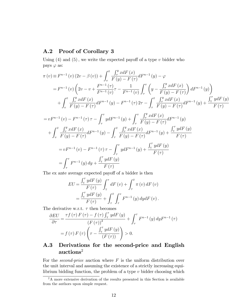# A.2 Proof of Corollary 3

Using  $(4)$  and  $(5)$ , we write the expected payoff of a type *v* bidder who pays  $\varphi$  as:

$$
\pi(v) \equiv F^{n-1}(v) (2v - \beta(v)) + \int_{v}^{\bar{v}} \frac{\int_{\tau}^{y} x dF(x)}{F(y) - F(\tau)} dF^{n-1}(y) - \varphi
$$
\n
$$
= F^{n-1}(v) \left( 2v - v + \frac{F^{n-1}(\tau)}{F^{n-1}(v)} \tau - \frac{1}{F^{n-1}(v)} \int_{\tau}^{v} \left( y - \frac{\int_{\tau}^{y} x dF(x)}{F(y) - F(\tau)} \right) dF^{n-1}(y) \right)
$$
\n
$$
+ \int_{v}^{\bar{v}} \frac{\int_{\tau}^{y} x dF(x)}{F(y) - F(\tau)} dF^{n-1}(y) - F^{n-1}(\tau) 2\tau - \int_{\tau}^{\bar{v}} \frac{\int_{\tau}^{y} x dF(x)}{F(y) - F(\tau)} dF^{n-1}(y) + \frac{\int_{\tau}^{\tau} y dF(y)}{F(\tau)}
$$
\n
$$
= vF^{n-1}(v) - F^{n-1}(\tau) \tau - \int_{\tau}^{v} y dF^{n-1}(y) + \int_{\tau}^{v} \frac{\int_{\tau}^{y} x dF(x)}{F(y) - F(\tau)} dF^{n-1}(y)
$$
\n
$$
+ \int_{v}^{\bar{v}} \frac{\int_{\tau}^{y} x dF(x)}{F(y) - F(\tau)} dF^{n-1}(y) - \int_{\tau}^{\bar{v}} \frac{\int_{\tau}^{y} x dF(x)}{F(y) - F(\tau)} dF^{n-1}(y) + \frac{\int_{\tau}^{\tau} y dF(y)}{F(\tau)}
$$
\n
$$
= vF^{n-1}(v) - F^{n-1}(\tau) \tau - \int_{\tau}^{v} y dF^{n-1}(y) + \frac{\int_{\tau}^{\tau} y dF(y)}{F(\tau)}
$$
\n
$$
= \int_{\tau}^{v} F^{n-1}(y) dy + \frac{\int_{\tau}^{\tau} y dF(y)}{F(\tau)}
$$

The ex ante average expected payoff of a bidder is then

$$
EU = \frac{\int_{\mathbf{v}}^{\tau} y dF(y)}{F(\tau)} \int_{\mathbf{v}}^{\tau} dF(v) + \int_{\tau}^{\bar{v}} \pi(v) dF(v)
$$
  
= 
$$
\frac{\int_{\mathbf{v}}^{\tau} y dF(y)}{F(\tau)} + \int_{\tau}^{\bar{v}} \int_{\tau}^{v} F^{n-1}(y) dy dF(v).
$$

The derivative w.r.t.  $\tau$  then becomes

$$
\frac{\partial EU}{\partial \tau} = \frac{\tau f(\tau) F(\tau) - f(\tau) \int_{\mathbf{y}}^{\tau} y dF(y)}{(F(\tau))^2} + \int_{\tau}^{\tau} F^{n-1}(y) dy F^{n-1}(\tau)
$$

$$
= f(\tau) F(\tau) \left(\tau - \frac{\int_{\mathbf{y}}^{\tau} y dF(y)}{(F(\tau))}\right) > 0.
$$

# A.3 Derivations for the second-price and English auctions<sup>2</sup>

For the *second-price* auction where *F* is the uniform distribution over the unit interval and assuming the existence of a strictly increasing equilibrium bidding function, the problem of a type *v* bidder choosing which

<sup>&</sup>lt;sup>2</sup>A more extensive derivation of the results presented in this Section is available from the authors upon simple request.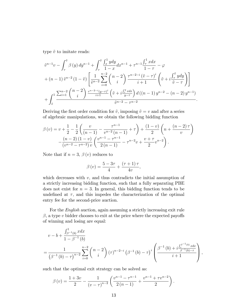type  $\tilde{v}$  to imitate reads:

$$
\tilde{v}^{n-1}v - \int_{\tau}^{\tilde{v}} \beta(y) \, dy^{n-1} + \int_{\tau}^{\tilde{v}} \frac{\int_{x}^{1} y \, dy}{1-x} dx^{n-1} + \tau^{n-1} \frac{\int_{\tau}^{1} x \, dx}{1-\tau} - \varphi
$$
\n
$$
+ (n-1) \, \tilde{v}^{n-2} \left(1-\tilde{v}\right) \left[ \frac{1}{\tilde{v}^{n-2}} \sum_{i=0}^{n-2} \binom{n-2}{i} \frac{\tau^{n-2-i} \left(\tilde{v} - \tau\right)^i}{i+1} \left(\tilde{v} + i \frac{\int_{\tau}^{\tilde{v}} y \, dy}{\tilde{v} - \tau}\right) \right]
$$
\n
$$
+ \int_{\tilde{v}}^{1} \frac{\sum_{i=1}^{n-2} \binom{n-2}{i} \frac{\tau^{n-2-i} (y-\tau)^i}{i+1} \left(\tilde{v} + i \frac{\int_{\tau}^y x \, dx}{y-\tau}\right) d \left((n-1) \, y^{n-2} - (n-2) \, y^{n-1}\right)}{\tilde{v}^{n-2} - \tau^{n-2}}.
$$

Deriving the first order condition for  $\tilde{v}$ , imposing  $\tilde{v} = v$  and after a series of algebraic manipulations, we obtain the following bidding function

$$
\beta(v) = v + \frac{1}{2} - \frac{1}{2} \left( \frac{v}{(n-1)} - \frac{\tau^{n-1}}{v^{n-2} (n-1)} + \tau \right) + \frac{(1-v)}{2} \left( n + \frac{(n-2)\tau}{v} \right)
$$

$$
- \frac{(n-2)(1-v)}{(v^{n-2} - \tau^{n-2})} v \left( \frac{v^{n-1} - \tau^{n-1}}{2(n-1)} - \tau^{n-2} v + \frac{v+\tau}{2} v^{n-2} \right).
$$

Note that if  $n = 3$ ,  $\beta(v)$  reduces to

$$
\beta(v) = \frac{5 - 3\tau}{4} + \frac{(\tau + 1)\tau}{4v},
$$

which decreases with  $v$ , and thus contradicts the initial assumption of a strictly increasing bidding function, such that a fully separating PBE does not exist for  $n = 3$ . In general, this bidding function tends to be undefined at  $\tau$ , and this impedes the characterization of the optimal entry fee for the second-price auction.

For the *English* auction, again assuming a strictly increasing exit rule  $\beta$ , a type *v* bidder chooses to exit at the price where the expected payoffs of winning and losing are equal:

$$
v - b + \frac{\int_{\beta^{-1}(b)}^{1} x dx}{1 - \beta^{-1}(b)}
$$
  
= 
$$
\frac{1}{(\beta^{-1}(b) - \tau)^{n-2}} \sum_{i=0}^{n-2} {n-2 \choose i} (\tau)^{n-2-i} (\beta^{-1}(b) - \tau)^i \left( \frac{\beta^{-1}(b) + i \frac{\int_{\beta}^{\beta^{-1}(b)} x dx}{\beta^{-1}(b) - \tau}}{i+1} \right),
$$

such that the optimal exit strategy can be solved as:

$$
\beta(v) = \frac{1+3v}{2} - \frac{1}{(v-\tau)^{n-2}} \left( \frac{v^{n-1} - \tau^{n-1}}{2(n-1)} + \frac{v^{n-1} + \tau v^{n-2}}{2} \right).
$$